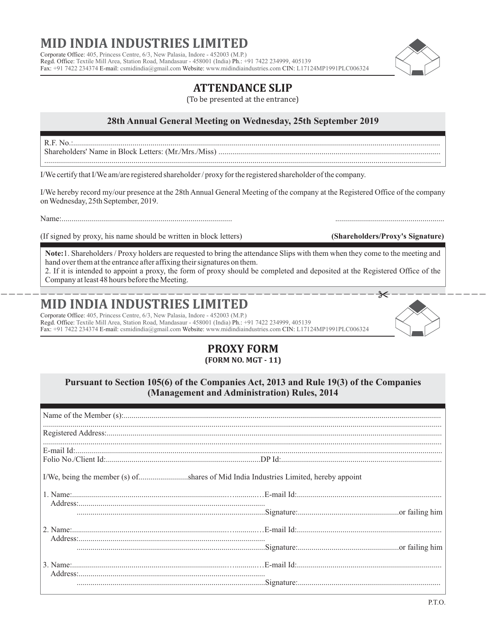# **MID INDIA INDUSTRIES LIMI**

Corporate Office: 405, Princess Centre, 6/3, New Palasia, Indore - 452003 (M.P.) Regd. Office: Textile Mill Area, Station Road, Mandasaur - 458001 (India) Ph.: +91 7422 234999, 405139 Fax: +91 7422 234374 E-mail: csmidindia@gmail.com Website: www.midindiaindustries.com CIN: L17124MP1991PLC006324

### **ATTENDANCE SLIP**

(To be presented at the entrance)

#### **28th Annual General Meeting on Wednesday, 25th September 2019**

R.F. No.:......................................................................................................................................................................................... Shareholders' Name in Block Letters: (Mr./Mrs./Miss) ................................................................................................................

I/We certify that I/We am/are registered shareholder / proxy for the registered shareholder of the company.

I/We hereby record my/our presence at the 28th Annual General Meeting of the company at the Registered Office of the company on Wednesday, 25th September, 2019.

Name

(If signed by proxy, his name should be written in block letters) **(Shareholders/Proxy's Signature)**

**Note:**1. Shareholders / Proxy holders are requested to bring the attendance Slips with them when they come to the meeting and hand over them at the entrance after affixing their signatures on them.

------------------------------------------------------------- 2. If it is intended to appoint a proxy, the form of proxy should be completed and deposited at the Registered Office of the Company at least 48 hours before the Meeting.

## **MID INDIA INDUSTRIES LIMITED**

Corporate Office: 405, Princess Centre, 6/3, New Palasia, Indore - 452003 (M.P.) Regd. Office: Textile Mill Area, Station Road, Mandasaur - 458001 (India) Ph.: +91 7422 234999, 405139 Fax: +91 7422 234374 E-mail: csmidindia@gmail.com Website: www.midindiaindustries.com CIN: L17124MP1991PLC006324

### **PROXY FORM (FORM NO. MGT - 11)**

#### **Pursuant to Section 105(6) of the Companies Act, 2013 and Rule 19(3) of the Companies (Management and Administration) Rules, 2014**